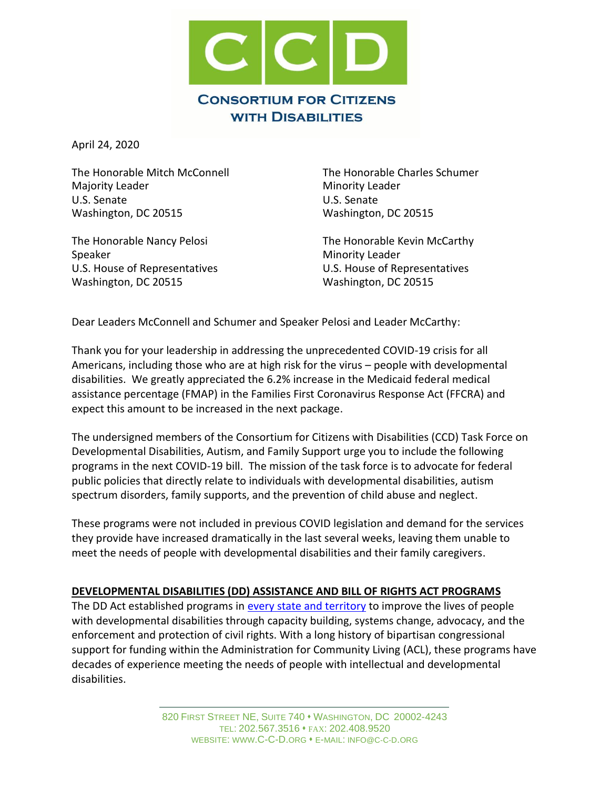

April 24, 2020

The Honorable Mitch McConnell The Honorable Charles Schumer Majority Leader **Minority Leader** Minority Leader U.S. Senate U.S. Senate Washington, DC 20515 Washington, DC 20515

Speaker Minority Leader Washington, DC 20515 Washington, DC 20515

The Honorable Nancy Pelosi **The Honorable Kevin McCarthy** U.S. House of Representatives U.S. House of Representatives

Dear Leaders McConnell and Schumer and Speaker Pelosi and Leader McCarthy:

Thank you for your leadership in addressing the unprecedented COVID-19 crisis for all Americans, including those who are at high risk for the virus – people with developmental disabilities. We greatly appreciated the 6.2% increase in the Medicaid federal medical assistance percentage (FMAP) in the Families First Coronavirus Response Act (FFCRA) and expect this amount to be increased in the next package.

The undersigned members of the Consortium for Citizens with Disabilities (CCD) Task Force on Developmental Disabilities, Autism, and Family Support urge you to include the following programs in the next COVID-19 bill. The mission of the task force is to advocate for federal public policies that directly relate to individuals with developmental disabilities, autism spectrum disorders, family supports, and the prevention of child abuse and neglect.

These programs were not included in previous COVID legislation and demand for the services they provide have increased dramatically in the last several weeks, leaving them unable to meet the needs of people with developmental disabilities and their family caregivers.

# **DEVELOPMENTAL DISABILITIES (DD) ASSISTANCE AND BILL OF RIGHTS ACT PROGRAMS**

The DD Act established programs in [every state and territory](https://acl.gov/programs/aging-and-disability-networks/state-councils-developmental-disabilities) to improve the lives of people with developmental disabilities through capacity building, systems change, advocacy, and the enforcement and protection of civil rights. With a long history of bipartisan congressional support for funding within the Administration for Community Living (ACL), these programs have decades of experience meeting the needs of people with intellectual and developmental disabilities.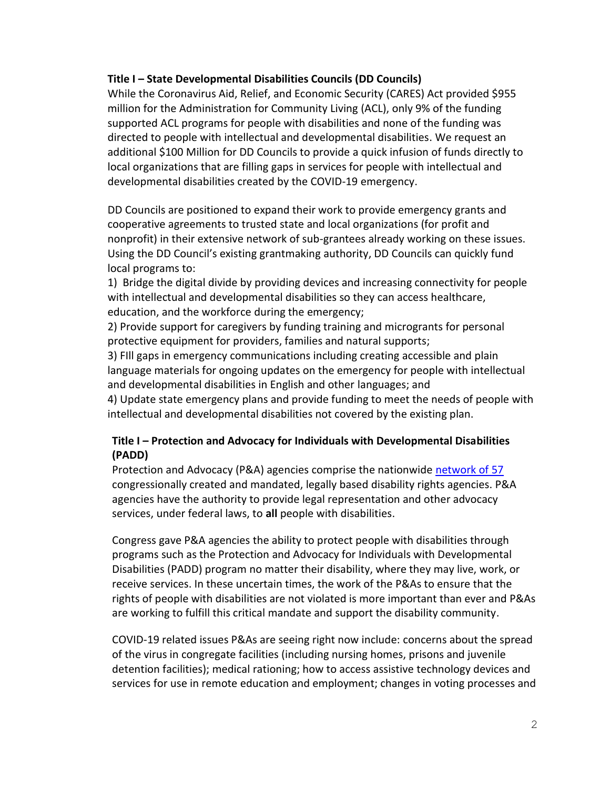## **Title I – State Developmental Disabilities Councils (DD Councils)**

While the Coronavirus Aid, Relief, and Economic Security (CARES) Act provided \$955 million for the Administration for Community Living (ACL), only 9% of the funding supported ACL programs for people with disabilities and none of the funding was directed to people with intellectual and developmental disabilities. We request an additional \$100 Million for DD Councils to provide a quick infusion of funds directly to local organizations that are filling gaps in services for people with intellectual and developmental disabilities created by the COVID-19 emergency.

DD Councils are positioned to expand their work to provide emergency grants and cooperative agreements to trusted state and local organizations (for profit and nonprofit) in their extensive network of sub-grantees already working on these issues. Using the DD Council's existing grantmaking authority, DD Councils can quickly fund local programs to:

1) Bridge the digital divide by providing devices and increasing connectivity for people with intellectual and developmental disabilities so they can access healthcare, education, and the workforce during the emergency;

2) Provide support for caregivers by funding training and microgrants for personal protective equipment for providers, families and natural supports;

3) FIll gaps in emergency communications including creating accessible and plain language materials for ongoing updates on the emergency for people with intellectual and developmental disabilities in English and other languages; and

4) Update state emergency plans and provide funding to meet the needs of people with intellectual and developmental disabilities not covered by the existing plan.

# **Title I – Protection and Advocacy for Individuals with Developmental Disabilities (PADD)**

Protection and Advocacy (P&A) agencies comprise the nationwide [network of 57](https://www.ndrn.org/wp-content/uploads/2020/04/PA-CAP-LIST-2020.docx) congressionally created and mandated, legally based disability rights agencies. P&A agencies have the authority to provide legal representation and other advocacy services, under federal laws, to **all** people with disabilities.

Congress gave P&A agencies the ability to protect people with disabilities through programs such as the Protection and Advocacy for Individuals with Developmental Disabilities (PADD) program no matter their disability, where they may live, work, or receive services. In these uncertain times, the work of the P&As to ensure that the rights of people with disabilities are not violated is more important than ever and P&As are working to fulfill this critical mandate and support the disability community.

COVID-19 related issues P&As are seeing right now include: concerns about the spread of the virus in congregate facilities (including nursing homes, prisons and juvenile detention facilities); medical rationing; how to access assistive technology devices and services for use in remote education and employment; changes in voting processes and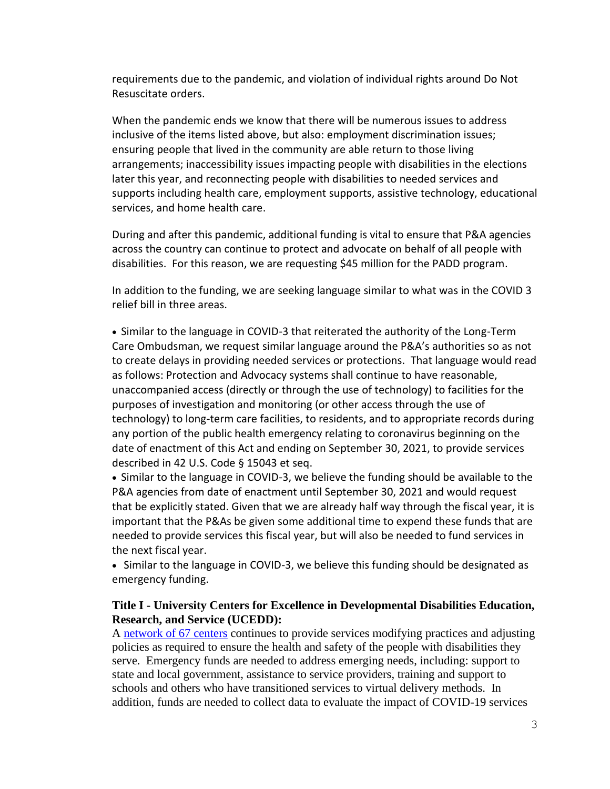requirements due to the pandemic, and violation of individual rights around Do Not Resuscitate orders.

When the pandemic ends we know that there will be numerous issues to address inclusive of the items listed above, but also: employment discrimination issues; ensuring people that lived in the community are able return to those living arrangements; inaccessibility issues impacting people with disabilities in the elections later this year, and reconnecting people with disabilities to needed services and supports including health care, employment supports, assistive technology, educational services, and home health care.

During and after this pandemic, additional funding is vital to ensure that P&A agencies across the country can continue to protect and advocate on behalf of all people with disabilities. For this reason, we are requesting \$45 million for the PADD program.

In addition to the funding, we are seeking language similar to what was in the COVID 3 relief bill in three areas.

• Similar to the language in COVID-3 that reiterated the authority of the Long-Term Care Ombudsman, we request similar language around the P&A's authorities so as not to create delays in providing needed services or protections. That language would read as follows: Protection and Advocacy systems shall continue to have reasonable, unaccompanied access (directly or through the use of technology) to facilities for the purposes of investigation and monitoring (or other access through the use of technology) to long-term care facilities, to residents, and to appropriate records during any portion of the public health emergency relating to coronavirus beginning on the date of enactment of this Act and ending on September 30, 2021, to provide services described in 42 U.S. Code § 15043 et seq.

• Similar to the language in COVID-3, we believe the funding should be available to the P&A agencies from date of enactment until September 30, 2021 and would request that be explicitly stated. Given that we are already half way through the fiscal year, it is important that the P&As be given some additional time to expend these funds that are needed to provide services this fiscal year, but will also be needed to fund services in the next fiscal year.

• Similar to the language in COVID-3, we believe this funding should be designated as emergency funding.

## **Title I - University Centers for Excellence in Developmental Disabilities Education, Research, and Service (UCEDD):**

A [network of 67 centers](https://www.aucd.org/directory/directory.cfm?program=UCEDD) continues to provide services modifying practices and adjusting policies as required to ensure the health and safety of the people with disabilities they serve. Emergency funds are needed to address emerging needs, including: support to state and local government, assistance to service providers, training and support to schools and others who have transitioned services to virtual delivery methods. In addition, funds are needed to collect data to evaluate the impact of COVID-19 services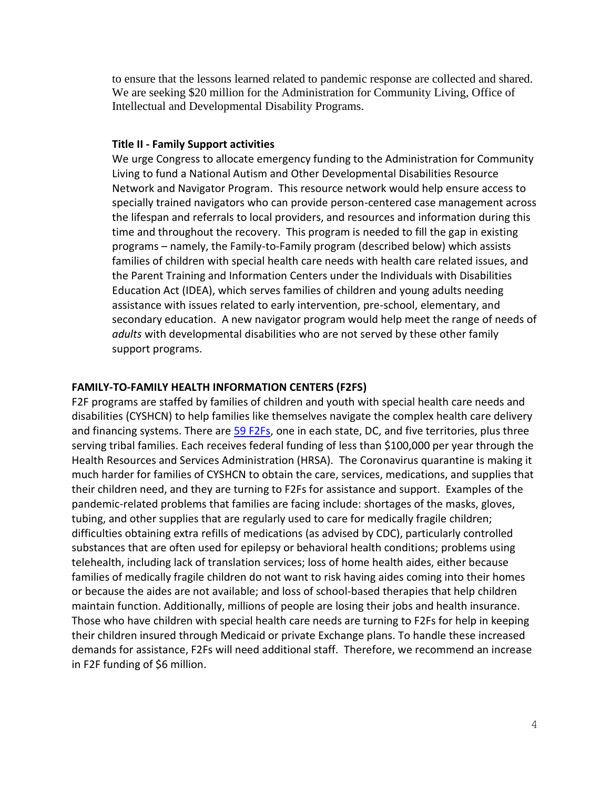to ensure that the lessons learned related to pandemic response are collected and shared. We are seeking \$20 million for the Administration for Community Living, Office of Intellectual and Developmental Disability Programs.

#### **Title II - Family Support activities**

We urge Congress to allocate emergency funding to the Administration for Community Living to fund a National Autism and Other Developmental Disabilities Resource Network and Navigator Program. This resource network would help ensure access to specially trained navigators who can provide person-centered case management across the lifespan and referrals to local providers, and resources and information during this time and throughout the recovery. This program is needed to fill the gap in existing programs – namely, the Family-to-Family program (described below) which assists families of children with special health care needs with health care related issues, and the Parent Training and Information Centers under the Individuals with Disabilities Education Act (IDEA), which serves families of children and young adults needing assistance with issues related to early intervention, pre-school, elementary, and secondary education. A new navigator program would help meet the range of needs of *adults* with developmental disabilities who are not served by these other family support programs.

#### **FAMILY-TO-FAMILY HEALTH INFORMATION CENTERS (F2FS)**

F2F programs are staffed by families of children and youth with special health care needs and disabilities (CYSHCN) to help families like themselves navigate the complex health care delivery and financing systems. There are [59 F2Fs,](https://familyvoices.org/affiliates/) one in each state, DC, and five territories, plus three serving tribal families. Each receives federal funding of less than \$100,000 per year through the Health Resources and Services Administration (HRSA). The Coronavirus quarantine is making it much harder for families of CYSHCN to obtain the care, services, medications, and supplies that their children need, and they are turning to F2Fs for assistance and support. Examples of the pandemic-related problems that families are facing include: shortages of the masks, gloves, tubing, and other supplies that are regularly used to care for medically fragile children; difficulties obtaining extra refills of medications (as advised by CDC), particularly controlled substances that are often used for epilepsy or behavioral health conditions; problems using telehealth, including lack of translation services; loss of home health aides, either because families of medically fragile children do not want to risk having aides coming into their homes or because the aides are not available; and loss of school-based therapies that help children maintain function. Additionally, millions of people are losing their jobs and health insurance. Those who have children with special health care needs are turning to F2Fs for help in keeping their children insured through Medicaid or private Exchange plans. To handle these increased demands for assistance, F2Fs will need additional staff. Therefore, we recommend an increase in F2F funding of \$6 million.